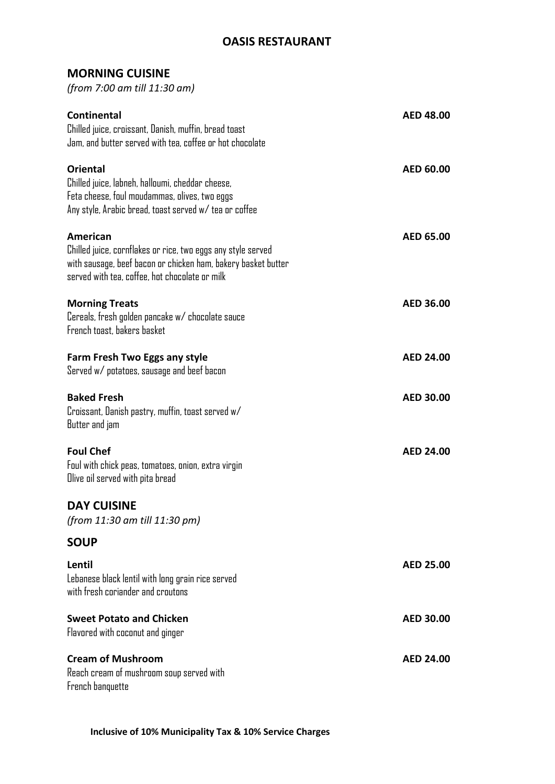## **OASIS RESTAURANT**

## **MORNING CUISINE**

*(from 7:00 am till 11:30 am)*

| <b>Continental</b><br>Chilled juice, croissant, Danish, muffin, bread toast<br>Jam, and butter served with tea, coffee or hot chocolate                                                     | <b>AED 48.00</b> |
|---------------------------------------------------------------------------------------------------------------------------------------------------------------------------------------------|------------------|
| <b>Oriental</b><br>Chilled juice, labneh, halloumi, cheddar cheese,<br>Feta cheese, foul moudammas, olives, two eggs<br>Any style, Arabic bread, toast served w/tea or coffee               | <b>AED 60.00</b> |
| American<br>Chilled juice, cornflakes or rice, two eggs any style served<br>with sausage, beef bacon or chicken ham, bakery basket butter<br>served with tea, coffee, hot chocolate or milk | AED 65.00        |
| <b>Morning Treats</b><br>Cereals, fresh golden pancake w/ chocolate sauce<br>French toast, bakers basket                                                                                    | AED 36.00        |
| Farm Fresh Two Eggs any style<br>Served w/ potatoes, sausage and beef bacon                                                                                                                 | <b>AED 24.00</b> |
| <b>Baked Fresh</b><br>Croissant, Danish pastry, muffin, toast served w/<br>Butter and jam                                                                                                   | <b>AED 30.00</b> |
| <b>Foul Chef</b><br>Foul with chick peas, tomatoes, onion, extra virgin<br>Olive oil served with pita bread                                                                                 | <b>AED 24.00</b> |
| <b>DAY CUISINE</b><br>(from 11:30 am till 11:30 pm)                                                                                                                                         |                  |
| <b>SOUP</b>                                                                                                                                                                                 |                  |
| Lentil<br>Lebanese black lentil with long grain rice served<br>with fresh coriander and croutons                                                                                            | <b>AED 25.00</b> |
| <b>Sweet Potato and Chicken</b><br>Flavored with coconut and ginger                                                                                                                         | <b>AED 30.00</b> |
| <b>Cream of Mushroom</b><br>Reach cream of mushroom soup served with<br>French banquette                                                                                                    | <b>AED 24.00</b> |

 **Inclusive of 10% Municipality Tax & 10% Service Charges**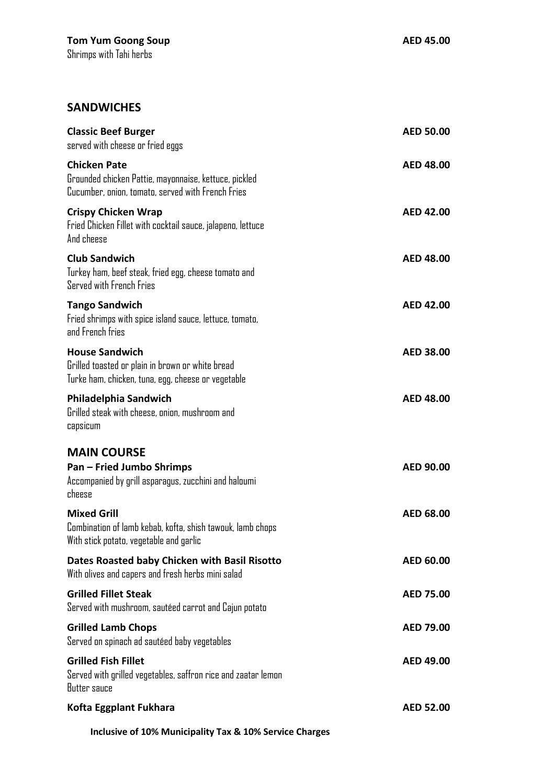## **SANDWICHES**

| <b>Classic Beef Burger</b><br>served with cheese or fried eggs                                                                    | <b>AED 50.00</b> |
|-----------------------------------------------------------------------------------------------------------------------------------|------------------|
| <b>Chicken Pate</b><br>Grounded chicken Pattie, mayonnaise, kettuce, pickled<br>Cucumber, onion, tomato, served with French Fries | AED 48.00        |
| <b>Crispy Chicken Wrap</b><br>Fried Chicken Fillet with cocktail sauce, jalapeno, lettuce<br>And cheese                           | AED 42.00        |
| <b>Club Sandwich</b><br>Turkey ham, beef steak, fried egg, cheese tomato and<br>Served with French Fries                          | <b>AED 48.00</b> |
| <b>Tango Sandwich</b><br>Fried shrimps with spice island sauce, lettuce, tomato,<br>and French fries                              | <b>AED 42.00</b> |
| <b>House Sandwich</b><br>Grilled toasted or plain in brown or white bread<br>Turke ham, chicken, tuna, egg, cheese or vegetable   | <b>AED 38.00</b> |
| Philadelphia Sandwich<br>Grilled steak with cheese, onion, mushroom and<br>capsicum                                               | <b>AED 48.00</b> |
| <b>MAIN COURSE</b><br><b>Pan - Fried Jumbo Shrimps</b><br>Accompanied by grill asparagus, zucchini and haloumi<br>cheese          | AED 90.00        |
| <b>Mixed Grill</b><br>Combination of lamb kebab, kofta, shish tawouk, lamb chops<br>With stick potato, vegetable and garlic       | AED 68.00        |
| Dates Roasted baby Chicken with Basil Risotto<br>With olives and capers and fresh herbs mini salad                                | AED 60.00        |
| <b>Grilled Fillet Steak</b><br>Served with mushroom, sautéed carrot and Cajun potato                                              | <b>AED 75.00</b> |
| <b>Grilled Lamb Chops</b><br>Served on spinach ad sautéed baby vegetables                                                         | AED 79.00        |
| <b>Grilled Fish Fillet</b><br>Served with grilled vegetables, saffron rice and zaatar lemon<br>Butter sauce                       | AED 49.00        |
| Kofta Eggplant Fukhara                                                                                                            | <b>AED 52.00</b> |
| Inclusive of 10% Municipality Tax & 10% Service Charges                                                                           |                  |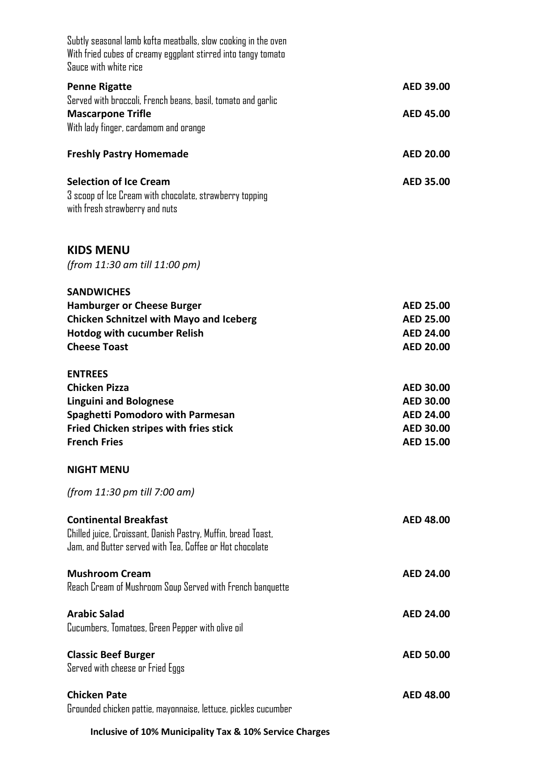| Subtly seasonal lamb kofta meatballs, slow cooking in the oven<br>With fried cubes of creamy eggplant stirred into tangy tomato<br>Sauce with white rice                                   |                                                                                                  |
|--------------------------------------------------------------------------------------------------------------------------------------------------------------------------------------------|--------------------------------------------------------------------------------------------------|
| <b>Penne Rigatte</b>                                                                                                                                                                       | AED 39.00                                                                                        |
| Served with broccoli, French beans, basil, tomato and garlic<br><b>Mascarpone Trifle</b><br>With lady finger, cardamom and orange                                                          | <b>AED 45.00</b>                                                                                 |
| <b>Freshly Pastry Homemade</b>                                                                                                                                                             | <b>AED 20.00</b>                                                                                 |
| <b>Selection of Ice Cream</b><br>3 scoop of Ice Cream with chocolate, strawberry topping<br>with fresh strawberry and nuts                                                                 | AED 35.00                                                                                        |
| <b>KIDS MENU</b><br>(from 11:30 am till 11:00 pm)                                                                                                                                          |                                                                                                  |
| <b>SANDWICHES</b><br><b>Hamburger or Cheese Burger</b><br><b>Chicken Schnitzel with Mayo and Iceberg</b><br><b>Hotdog with cucumber Relish</b><br><b>Cheese Toast</b>                      | <b>AED 25.00</b><br><b>AED 25.00</b><br><b>AED 24.00</b><br><b>AED 20.00</b>                     |
| <b>ENTREES</b><br><b>Chicken Pizza</b><br><b>Linguini and Bolognese</b><br><b>Spaghetti Pomodoro with Parmesan</b><br><b>Fried Chicken stripes with fries stick</b><br><b>French Fries</b> | <b>AED 30.00</b><br><b>AED 30.00</b><br><b>AED 24.00</b><br><b>AED 30.00</b><br><b>AED 15.00</b> |
| <b>NIGHT MENU</b>                                                                                                                                                                          |                                                                                                  |
| (from 11:30 pm till 7:00 am)                                                                                                                                                               |                                                                                                  |
| <b>Continental Breakfast</b><br>Chilled juice, Croissant, Danish Pastry, Muffin, bread Toast,<br>Jam, and Butter served with Tea, Coffee or Hot chocolate                                  | <b>AED 48.00</b>                                                                                 |
| <b>Mushroom Cream</b><br>Reach Cream of Mushroom Soup Served with French banquette                                                                                                         | <b>AED 24.00</b>                                                                                 |
| <b>Arabic Salad</b><br>Cucumbers, Tomatoes, Green Pepper with olive oil                                                                                                                    | <b>AED 24.00</b>                                                                                 |
| <b>Classic Beef Burger</b><br>Served with cheese or Fried Eggs                                                                                                                             | <b>AED 50.00</b>                                                                                 |
| <b>Chicken Pate</b><br>Grounded chicken pattie, mayonnaise, lettuce, pickles cucumber                                                                                                      | <b>AED 48.00</b>                                                                                 |
|                                                                                                                                                                                            |                                                                                                  |

 **Inclusive of 10% Municipality Tax & 10% Service Charges**